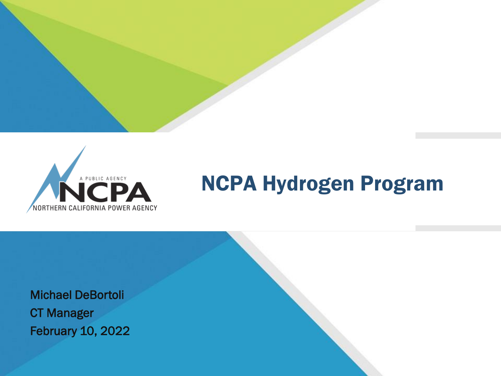

# NCPA Hydrogen Program

 February 10, 2022 Michael DeBortoli CT Manager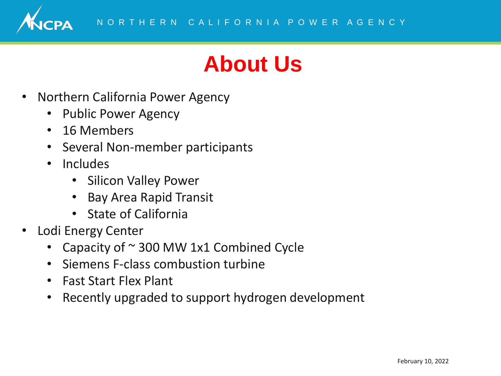

## **About Us**

- Northern California Power Agency
	- Public Power Agency
	- 16 Members
	- Several Non-member participants
	- Includes
		- Silicon Valley Power
		- Bay Area Rapid Transit
		- State of California
- Lodi Energy Center
	- Capacity of  $\sim$  300 MW 1x1 Combined Cycle
	- Siemens F-class combustion turbine
	- Fast Start Flex Plant
	- Recently upgraded to support hydrogen development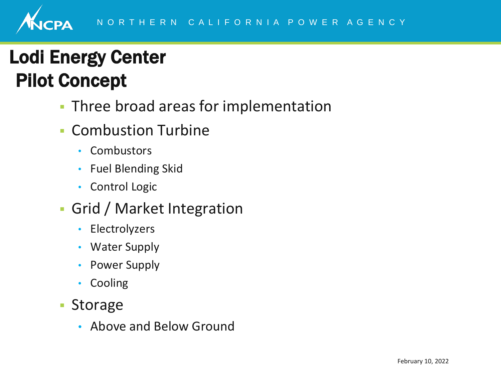### Lodi Energy Center Pilot Concept

- **Three broad areas for implementation**
- Combustion Turbine
	- Combustors
	- Fuel Blending Skid
	- Control Logic
- Grid / Market Integration
	- Electrolyzers
	- Water Supply
	- Power Supply
	- Cooling
- Storage
	- Above and Below Ground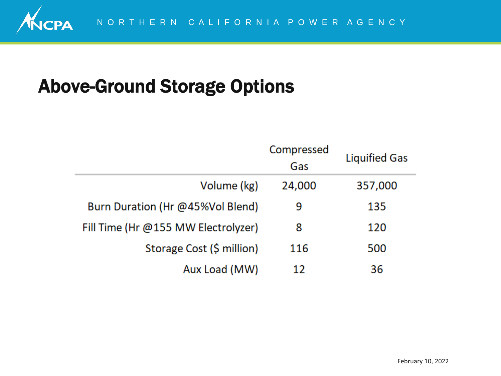#### Above-Ground Storage Options

|                                     | Compressed<br>Gas | <b>Liquified Gas</b> |
|-------------------------------------|-------------------|----------------------|
| Volume (kg)                         | 24,000            | 357,000              |
| Burn Duration (Hr @45%Vol Blend)    | 9                 | 135                  |
| Fill Time (Hr @155 MW Electrolyzer) | 8                 | 120                  |
| Storage Cost (\$ million)           | 116               | 500                  |
| Aux Load (MW)                       | 12                | 36                   |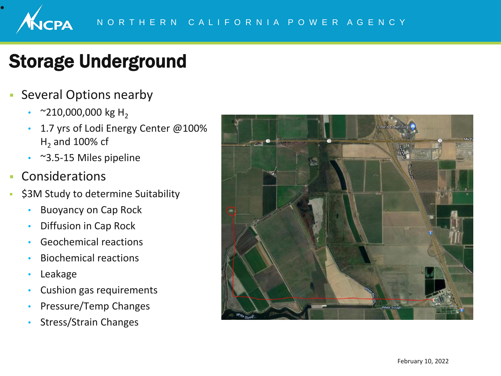#### Storage Underground

- **Exercial Options nearby** 
	- $\sim$ 210,000,000 kg H<sub>2</sub>
	- 1.7 yrs of Lodi Energy Center @100%  $H<sub>2</sub>$  and 100% cf
	- ~3.5-15 Miles pipeline
- Considerations

VCPA

•

- **\$3M Study to determine Suitability** 
	- Buoyancy on Cap Rock
	- Diffusion in Cap Rock
	- Geochemical reactions
	- Biochemical reactions
	- Leakage
	- Cushion gas requirements
	- Pressure/Temp Changes
	- Stress/Strain Changes